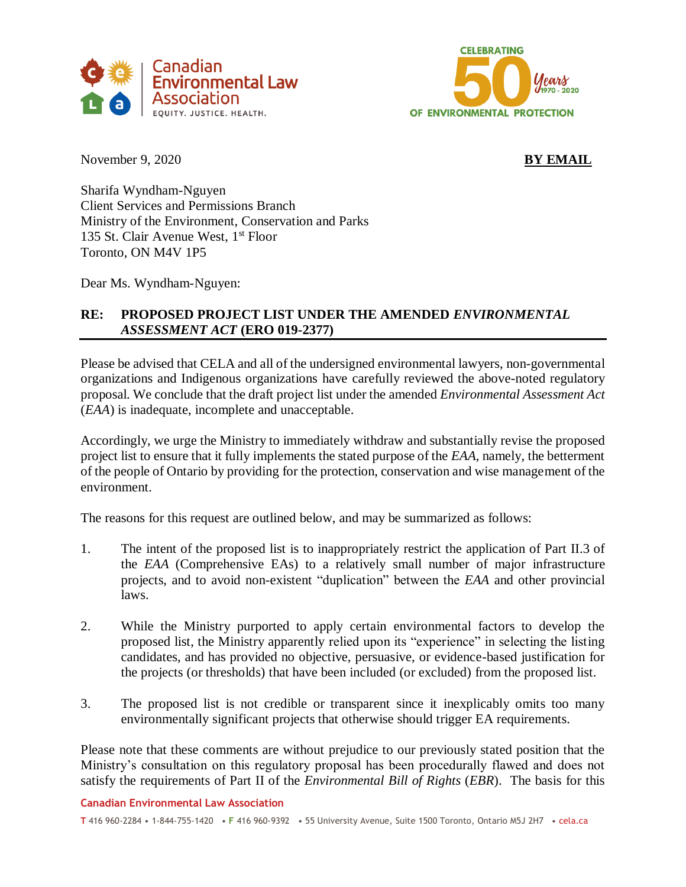



November 9, 2020 **BY EMAIL** 

Sharifa Wyndham-Nguyen Client Services and Permissions Branch Ministry of the Environment, Conservation and Parks 135 St. Clair Avenue West,  $1<sup>st</sup>$  Floor Toronto, ON M4V 1P5

Dear Ms. Wyndham-Nguyen:

# **RE: PROPOSED PROJECT LIST UNDER THE AMENDED** *ENVIRONMENTAL ASSESSMENT ACT* **(ERO 019-2377)**

Please be advised that CELA and all of the undersigned environmental lawyers, non-governmental organizations and Indigenous organizations have carefully reviewed the above-noted regulatory proposal. We conclude that the draft project list under the amended *Environmental Assessment Act* (*EAA*) is inadequate, incomplete and unacceptable.

Accordingly, we urge the Ministry to immediately withdraw and substantially revise the proposed project list to ensure that it fully implements the stated purpose of the *EAA*, namely, the betterment of the people of Ontario by providing for the protection, conservation and wise management of the environment.

The reasons for this request are outlined below, and may be summarized as follows:

- 1. The intent of the proposed list is to inappropriately restrict the application of Part II.3 of the *EAA* (Comprehensive EAs) to a relatively small number of major infrastructure projects, and to avoid non-existent "duplication" between the *EAA* and other provincial laws.
- 2. While the Ministry purported to apply certain environmental factors to develop the proposed list, the Ministry apparently relied upon its "experience" in selecting the listing candidates, and has provided no objective, persuasive, or evidence-based justification for the projects (or thresholds) that have been included (or excluded) from the proposed list.
- 3. The proposed list is not credible or transparent since it inexplicably omits too many environmentally significant projects that otherwise should trigger EA requirements.

Please note that these comments are without prejudice to our previously stated position that the Ministry's consultation on this regulatory proposal has been procedurally flawed and does not satisfy the requirements of Part II of the *Environmental Bill of Rights* (*EBR*). The basis for this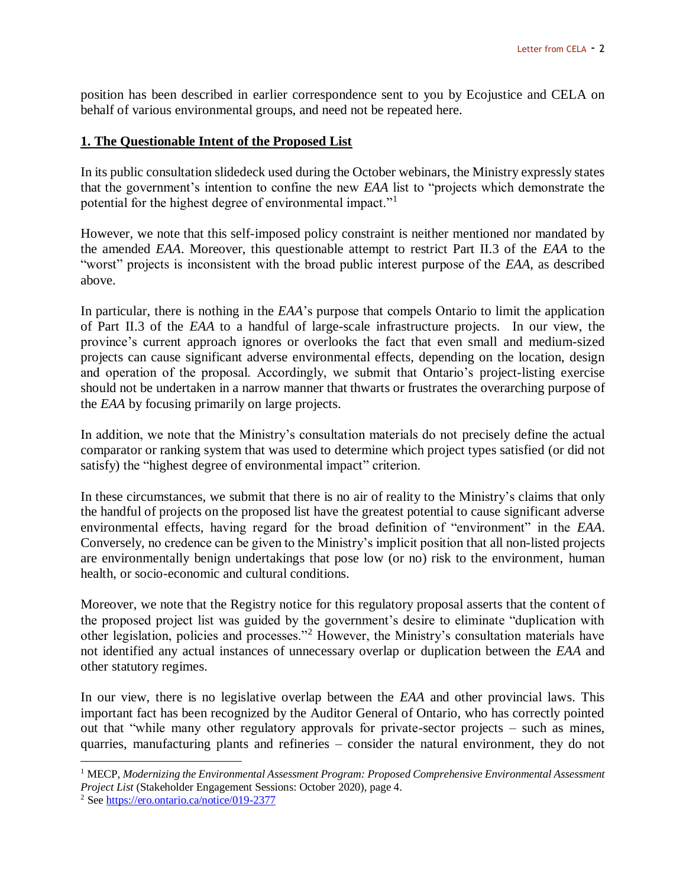position has been described in earlier correspondence sent to you by Ecojustice and CELA on behalf of various environmental groups, and need not be repeated here.

## **1. The Questionable Intent of the Proposed List**

In its public consultation slidedeck used during the October webinars, the Ministry expressly states that the government's intention to confine the new *EAA* list to "projects which demonstrate the potential for the highest degree of environmental impact."<sup>1</sup>

However, we note that this self-imposed policy constraint is neither mentioned nor mandated by the amended *EAA*. Moreover, this questionable attempt to restrict Part II.3 of the *EAA* to the "worst" projects is inconsistent with the broad public interest purpose of the *EAA*, as described above.

In particular, there is nothing in the *EAA*'s purpose that compels Ontario to limit the application of Part II.3 of the *EAA* to a handful of large-scale infrastructure projects. In our view, the province's current approach ignores or overlooks the fact that even small and medium-sized projects can cause significant adverse environmental effects, depending on the location, design and operation of the proposal. Accordingly, we submit that Ontario's project-listing exercise should not be undertaken in a narrow manner that thwarts or frustrates the overarching purpose of the *EAA* by focusing primarily on large projects.

In addition, we note that the Ministry's consultation materials do not precisely define the actual comparator or ranking system that was used to determine which project types satisfied (or did not satisfy) the "highest degree of environmental impact" criterion.

In these circumstances, we submit that there is no air of reality to the Ministry's claims that only the handful of projects on the proposed list have the greatest potential to cause significant adverse environmental effects, having regard for the broad definition of "environment" in the *EAA*. Conversely, no credence can be given to the Ministry's implicit position that all non-listed projects are environmentally benign undertakings that pose low (or no) risk to the environment, human health, or socio-economic and cultural conditions.

Moreover, we note that the Registry notice for this regulatory proposal asserts that the content of the proposed project list was guided by the government's desire to eliminate "duplication with other legislation, policies and processes."<sup>2</sup> However, the Ministry's consultation materials have not identified any actual instances of unnecessary overlap or duplication between the *EAA* and other statutory regimes.

In our view, there is no legislative overlap between the *EAA* and other provincial laws. This important fact has been recognized by the Auditor General of Ontario, who has correctly pointed out that "while many other regulatory approvals for private-sector projects – such as mines, quarries, manufacturing plants and refineries – consider the natural environment, they do not

<sup>1</sup> MECP, *Modernizing the Environmental Assessment Program: Proposed Comprehensive Environmental Assessment Project List* (Stakeholder Engagement Sessions: October 2020), page 4.

<sup>2</sup> Se[e https://ero.ontario.ca/notice/019-2377](https://ero.ontario.ca/notice/019-2377)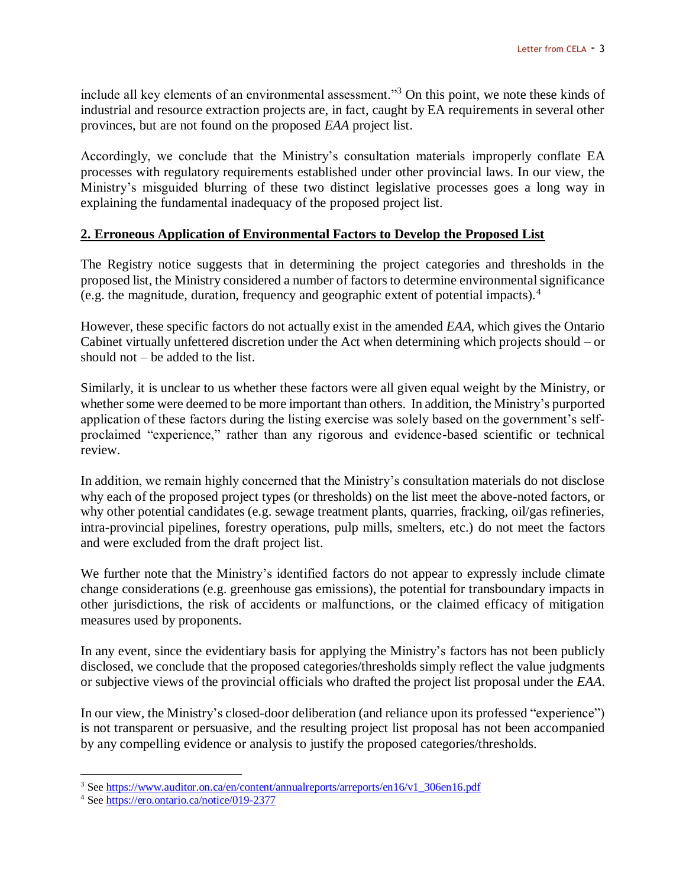include all key elements of an environmental assessment."<sup>3</sup> On this point, we note these kinds of industrial and resource extraction projects are, in fact, caught by EA requirements in several other provinces, but are not found on the proposed *EAA* project list.

Accordingly, we conclude that the Ministry's consultation materials improperly conflate EA processes with regulatory requirements established under other provincial laws. In our view, the Ministry's misguided blurring of these two distinct legislative processes goes a long way in explaining the fundamental inadequacy of the proposed project list.

## **2. Erroneous Application of Environmental Factors to Develop the Proposed List**

The Registry notice suggests that in determining the project categories and thresholds in the proposed list, the Ministry considered a number of factors to determine environmental significance (e.g. the magnitude, duration, frequency and geographic extent of potential impacts).<sup>4</sup>

However, these specific factors do not actually exist in the amended *EAA*, which gives the Ontario Cabinet virtually unfettered discretion under the Act when determining which projects should – or should not – be added to the list.

Similarly, it is unclear to us whether these factors were all given equal weight by the Ministry, or whether some were deemed to be more important than others. In addition, the Ministry's purported application of these factors during the listing exercise was solely based on the government's selfproclaimed "experience," rather than any rigorous and evidence-based scientific or technical review.

In addition, we remain highly concerned that the Ministry's consultation materials do not disclose why each of the proposed project types (or thresholds) on the list meet the above-noted factors, or why other potential candidates (e.g. sewage treatment plants, quarries, fracking, oil/gas refineries, intra-provincial pipelines, forestry operations, pulp mills, smelters, etc.) do not meet the factors and were excluded from the draft project list.

We further note that the Ministry's identified factors do not appear to expressly include climate change considerations (e.g. greenhouse gas emissions), the potential for transboundary impacts in other jurisdictions, the risk of accidents or malfunctions, or the claimed efficacy of mitigation measures used by proponents.

In any event, since the evidentiary basis for applying the Ministry's factors has not been publicly disclosed, we conclude that the proposed categories/thresholds simply reflect the value judgments or subjective views of the provincial officials who drafted the project list proposal under the *EAA*.

In our view, the Ministry's closed-door deliberation (and reliance upon its professed "experience") is not transparent or persuasive, and the resulting project list proposal has not been accompanied by any compelling evidence or analysis to justify the proposed categories/thresholds.

<sup>&</sup>lt;sup>3</sup> Se[e https://www.auditor.on.ca/en/content/annualreports/arreports/en16/v1\\_306en16.pdf](https://www.auditor.on.ca/en/content/annualreports/arreports/en16/v1_306en16.pdf)

<sup>4</sup> Se[e https://ero.ontario.ca/notice/019-2377](https://ero.ontario.ca/notice/019-2377)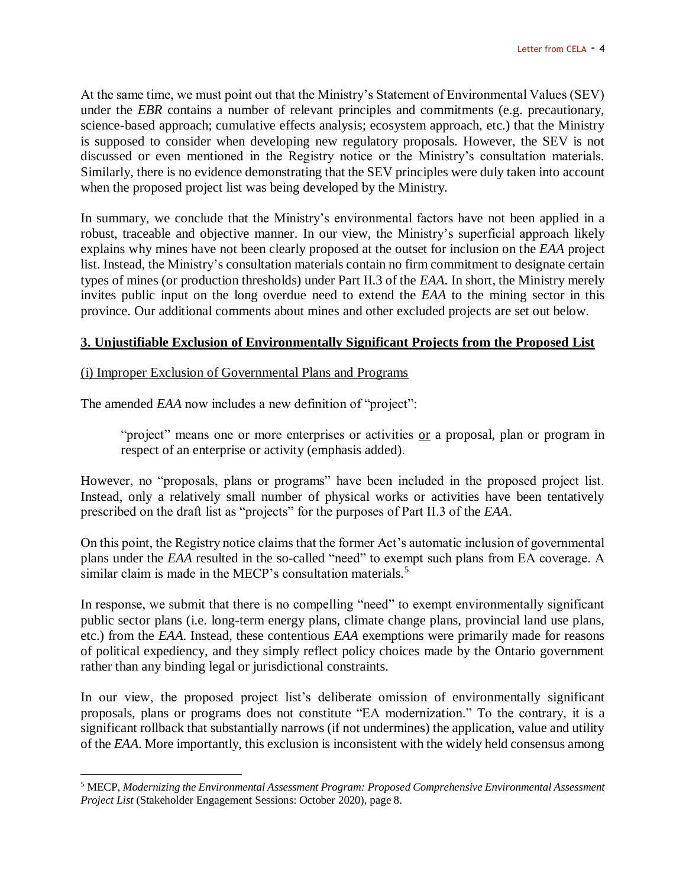At the same time, we must point out that the Ministry's Statement of Environmental Values (SEV) under the *EBR* contains a number of relevant principles and commitments (e.g. precautionary, science-based approach; cumulative effects analysis; ecosystem approach, etc.) that the Ministry is supposed to consider when developing new regulatory proposals. However, the SEV is not discussed or even mentioned in the Registry notice or the Ministry's consultation materials. Similarly, there is no evidence demonstrating that the SEV principles were duly taken into account when the proposed project list was being developed by the Ministry.

In summary, we conclude that the Ministry's environmental factors have not been applied in a robust, traceable and objective manner. In our view, the Ministry's superficial approach likely explains why mines have not been clearly proposed at the outset for inclusion on the *EAA* project list. Instead, the Ministry's consultation materials contain no firm commitment to designate certain types of mines (or production thresholds) under Part II.3 of the *EAA*. In short, the Ministry merely invites public input on the long overdue need to extend the *EAA* to the mining sector in this province. Our additional comments about mines and other excluded projects are set out below.

#### **3. Unjustifiable Exclusion of Environmentally Significant Projects from the Proposed List**

#### (i) Improper Exclusion of Governmental Plans and Programs

The amended *EAA* now includes a new definition of "project":

 $\overline{a}$ 

"project" means one or more enterprises or activities or a proposal, plan or program in respect of an enterprise or activity (emphasis added).

However, no "proposals, plans or programs" have been included in the proposed project list. Instead, only a relatively small number of physical works or activities have been tentatively prescribed on the draft list as "projects" for the purposes of Part II.3 of the *EAA*.

On this point, the Registry notice claims that the former Act's automatic inclusion of governmental plans under the *EAA* resulted in the so-called "need" to exempt such plans from EA coverage. A similar claim is made in the MECP's consultation materials.<sup>5</sup>

In response, we submit that there is no compelling "need" to exempt environmentally significant public sector plans (i.e. long-term energy plans, climate change plans, provincial land use plans, etc.) from the *EAA*. Instead, these contentious *EAA* exemptions were primarily made for reasons of political expediency, and they simply reflect policy choices made by the Ontario government rather than any binding legal or jurisdictional constraints.

In our view, the proposed project list's deliberate omission of environmentally significant proposals, plans or programs does not constitute "EA modernization." To the contrary, it is a significant rollback that substantially narrows (if not undermines) the application, value and utility of the *EAA*. More importantly, this exclusion is inconsistent with the widely held consensus among

<sup>5</sup> MECP, *Modernizing the Environmental Assessment Program: Proposed Comprehensive Environmental Assessment Project List* (Stakeholder Engagement Sessions: October 2020), page 8.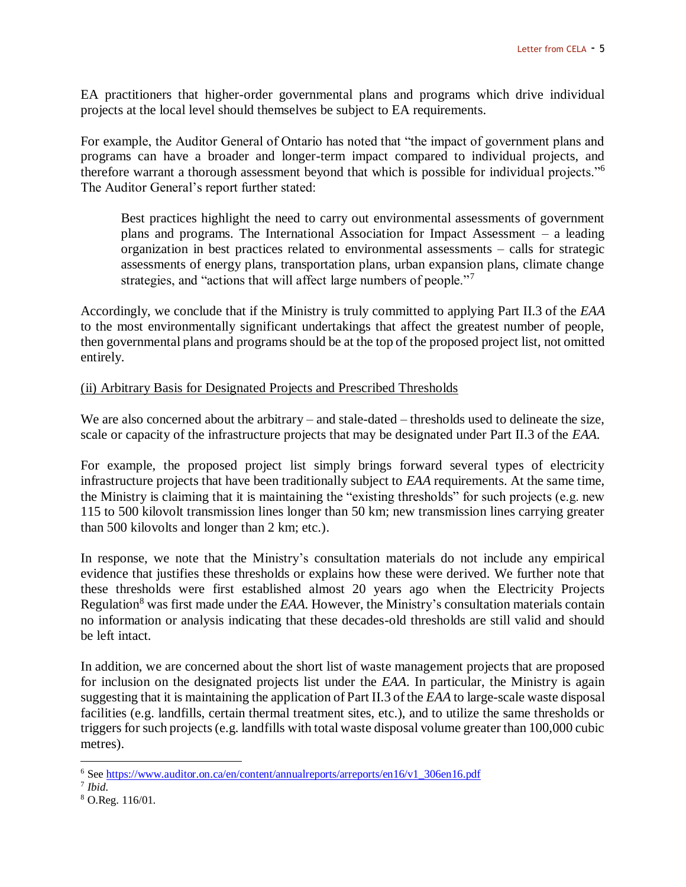EA practitioners that higher-order governmental plans and programs which drive individual projects at the local level should themselves be subject to EA requirements.

For example, the Auditor General of Ontario has noted that "the impact of government plans and programs can have a broader and longer-term impact compared to individual projects, and therefore warrant a thorough assessment beyond that which is possible for individual projects."<sup>6</sup> The Auditor General's report further stated:

Best practices highlight the need to carry out environmental assessments of government plans and programs. The International Association for Impact Assessment – a leading organization in best practices related to environmental assessments – calls for strategic assessments of energy plans, transportation plans, urban expansion plans, climate change strategies, and "actions that will affect large numbers of people."<sup>7</sup>

Accordingly, we conclude that if the Ministry is truly committed to applying Part II.3 of the *EAA* to the most environmentally significant undertakings that affect the greatest number of people, then governmental plans and programs should be at the top of the proposed project list, not omitted entirely.

## (ii) Arbitrary Basis for Designated Projects and Prescribed Thresholds

We are also concerned about the arbitrary – and stale-dated – thresholds used to delineate the size, scale or capacity of the infrastructure projects that may be designated under Part II.3 of the *EAA.*

For example, the proposed project list simply brings forward several types of electricity infrastructure projects that have been traditionally subject to *EAA* requirements. At the same time, the Ministry is claiming that it is maintaining the "existing thresholds" for such projects (e.g. new 115 to 500 kilovolt transmission lines longer than 50 km; new transmission lines carrying greater than 500 kilovolts and longer than 2 km; etc.).

In response, we note that the Ministry's consultation materials do not include any empirical evidence that justifies these thresholds or explains how these were derived. We further note that these thresholds were first established almost 20 years ago when the Electricity Projects Regulation<sup>8</sup> was first made under the *EAA*. However, the Ministry's consultation materials contain no information or analysis indicating that these decades-old thresholds are still valid and should be left intact.

In addition, we are concerned about the short list of waste management projects that are proposed for inclusion on the designated projects list under the *EAA*. In particular, the Ministry is again suggesting that it is maintaining the application of Part II.3 of the *EAA* to large-scale waste disposal facilities (e.g. landfills, certain thermal treatment sites, etc.), and to utilize the same thresholds or triggers for such projects (e.g. landfills with total waste disposal volume greater than 100,000 cubic metres).

<sup>6</sup> Se[e https://www.auditor.on.ca/en/content/annualreports/arreports/en16/v1\\_306en16.pdf](https://www.auditor.on.ca/en/content/annualreports/arreports/en16/v1_306en16.pdf)

<sup>7</sup> *Ibid*.

<sup>8</sup> O.Reg. 116/01.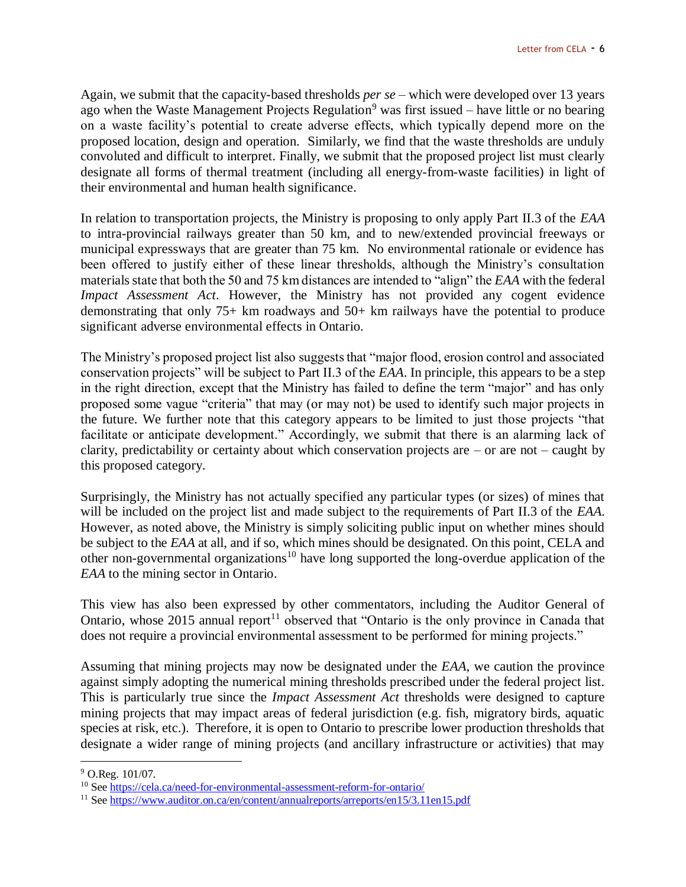Again, we submit that the capacity-based thresholds *per se* – which were developed over 13 years ago when the Waste Management Projects Regulation<sup>9</sup> was first issued – have little or no bearing on a waste facility's potential to create adverse effects, which typically depend more on the proposed location, design and operation. Similarly, we find that the waste thresholds are unduly convoluted and difficult to interpret. Finally, we submit that the proposed project list must clearly designate all forms of thermal treatment (including all energy-from-waste facilities) in light of their environmental and human health significance.

In relation to transportation projects, the Ministry is proposing to only apply Part II.3 of the *EAA* to intra-provincial railways greater than 50 km, and to new/extended provincial freeways or municipal expressways that are greater than 75 km. No environmental rationale or evidence has been offered to justify either of these linear thresholds, although the Ministry's consultation materials state that both the 50 and 75 km distances are intended to "align" the *EAA* with the federal *Impact Assessment Act*. However, the Ministry has not provided any cogent evidence demonstrating that only 75+ km roadways and 50+ km railways have the potential to produce significant adverse environmental effects in Ontario.

The Ministry's proposed project list also suggests that "major flood, erosion control and associated conservation projects" will be subject to Part II.3 of the *EAA*. In principle, this appears to be a step in the right direction, except that the Ministry has failed to define the term "major" and has only proposed some vague "criteria" that may (or may not) be used to identify such major projects in the future. We further note that this category appears to be limited to just those projects "that facilitate or anticipate development." Accordingly, we submit that there is an alarming lack of clarity, predictability or certainty about which conservation projects are – or are not – caught by this proposed category.

Surprisingly, the Ministry has not actually specified any particular types (or sizes) of mines that will be included on the project list and made subject to the requirements of Part II.3 of the *EAA*. However, as noted above, the Ministry is simply soliciting public input on whether mines should be subject to the *EAA* at all, and if so, which mines should be designated. On this point, CELA and other non-governmental organizations<sup>10</sup> have long supported the long-overdue application of the *EAA* to the mining sector in Ontario.

This view has also been expressed by other commentators, including the Auditor General of Ontario, whose 2015 annual report<sup>11</sup> observed that "Ontario is the only province in Canada that does not require a provincial environmental assessment to be performed for mining projects."

Assuming that mining projects may now be designated under the *EAA*, we caution the province against simply adopting the numerical mining thresholds prescribed under the federal project list. This is particularly true since the *Impact Assessment Act* thresholds were designed to capture mining projects that may impact areas of federal jurisdiction (e.g. fish, migratory birds, aquatic species at risk, etc.). Therefore, it is open to Ontario to prescribe lower production thresholds that designate a wider range of mining projects (and ancillary infrastructure or activities) that may

<sup>9</sup> O.Reg. 101/07.

<sup>10</sup> See<https://cela.ca/need-for-environmental-assessment-reform-for-ontario/>

<sup>&</sup>lt;sup>11</sup> See<https://www.auditor.on.ca/en/content/annualreports/arreports/en15/3.11en15.pdf>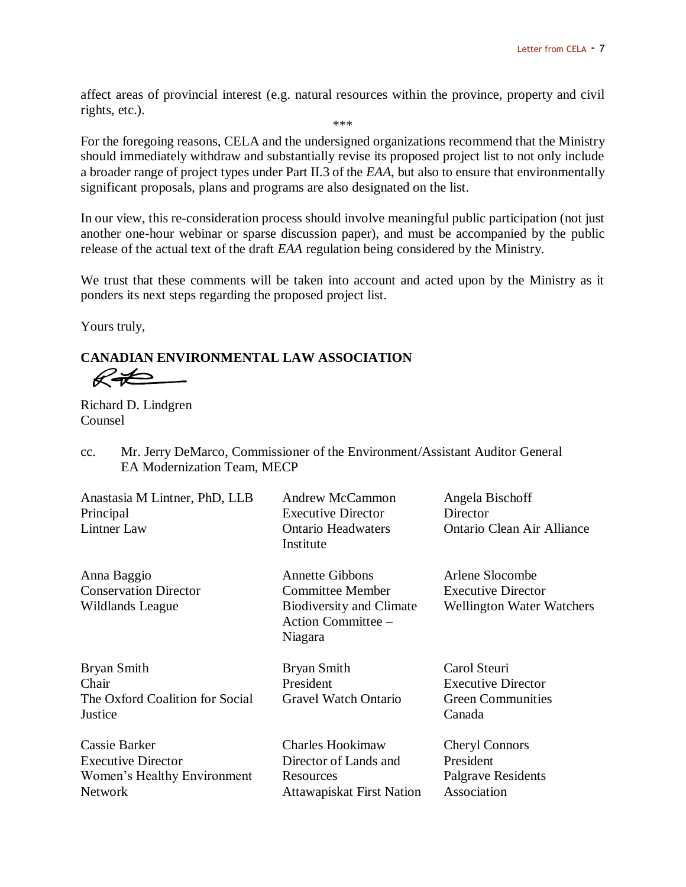affect areas of provincial interest (e.g. natural resources within the province, property and civil rights, etc.). \*\*\*

For the foregoing reasons, CELA and the undersigned organizations recommend that the Ministry should immediately withdraw and substantially revise its proposed project list to not only include a broader range of project types under Part II.3 of the *EAA*, but also to ensure that environmentally significant proposals, plans and programs are also designated on the list.

In our view, this re-consideration process should involve meaningful public participation (not just another one-hour webinar or sparse discussion paper), and must be accompanied by the public release of the actual text of the draft *EAA* regulation being considered by the Ministry.

We trust that these comments will be taken into account and acted upon by the Ministry as it ponders its next steps regarding the proposed project list.

Yours truly,

**CANADIAN ENVIRONMENTAL LAW ASSOCIATION**  $R\neq$ 

Richard D. Lindgren Counsel

cc. Mr. Jerry DeMarco, Commissioner of the Environment/Assistant Auditor General EA Modernization Team, MECP

| Anastasia M Lintner, PhD, LLB<br>Principal<br><b>Lintner Law</b>                                   | Andrew McCammon<br><b>Executive Director</b><br><b>Ontario Headwaters</b><br>Institute                                | Angela Bischoff<br>Director<br>Ontario Clean Air Alliance                        |
|----------------------------------------------------------------------------------------------------|-----------------------------------------------------------------------------------------------------------------------|----------------------------------------------------------------------------------|
| Anna Baggio<br><b>Conservation Director</b><br>Wildlands League                                    | <b>Annette Gibbons</b><br><b>Committee Member</b><br><b>Biodiversity and Climate</b><br>Action Committee -<br>Niagara | Arlene Slocombe<br><b>Executive Director</b><br><b>Wellington Water Watchers</b> |
| Bryan Smith<br>Chair<br>The Oxford Coalition for Social<br>Justice                                 | Bryan Smith<br>President<br><b>Gravel Watch Ontario</b>                                                               | Carol Steuri<br><b>Executive Director</b><br><b>Green Communities</b><br>Canada  |
| <b>Cassie Barker</b><br><b>Executive Director</b><br>Women's Healthy Environment<br><b>Network</b> | <b>Charles Hookimaw</b><br>Director of Lands and<br>Resources<br><b>Attawapiskat First Nation</b>                     | <b>Cheryl Connors</b><br>President<br>Palgrave Residents<br>Association          |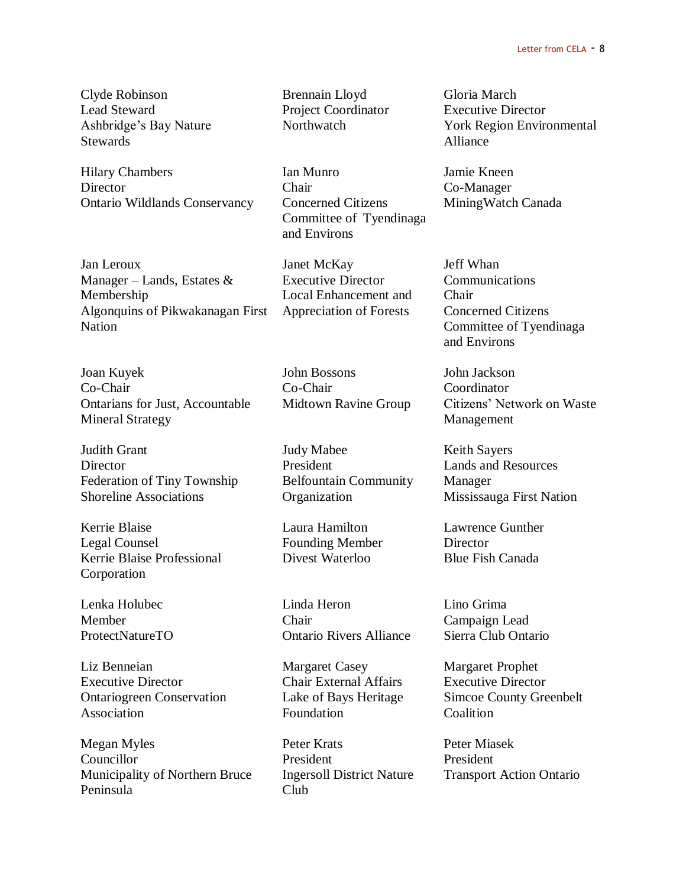Clyde Robinson Brennain Lloyd Gloria March Lead Steward Project Coordinator Executive Director Stewards Alliance

Hilary Chambers Ian Munro Jamie Kneen Director Chair Co-Manager Ontario Wildlands Conservancy Concerned Citizens MiningWatch Canada

Jan Leroux Janet McKay Jeff Whan Manager – Lands, Estates  $\&$  Executive Director Communications Membership Local Enhancement and Chair Algonquins of Pikwakanagan First Appreciation of Forests Concerned Citizens Nation Committee of Tyendinaga

Joan Kuyek John Bossons John Jackson Co-Chair Co-Chair Coordinator Ontarians for Just, Accountable Midtown Ravine Group Citizens' Network on Waste Mineral Strategy Management

Judith Grant Tudy Mabee The Keith Sayers Director President Lands and Resources Federation of Tiny Township Belfountain Community Manager Shoreline Associations **Organization** Mississauga First Nation

Kerrie Blaise Laura Hamilton Lawrence Gunther Legal Counsel Founding Member Director Kerrie Blaise Professional Divest Waterloo Blue Fish Canada Corporation

Liz Benneian Margaret Casey Margaret Prophet Executive Director Chair External Affairs Executive Director Ontariogreen Conservation Lake of Bays Heritage Simcoe County Greenbelt Association Foundation Coalition

Megan Myles Peter Krats Peter Miasek Councillor President President Municipality of Northern Bruce Ingersoll District Nature Transport Action Ontario Peninsula Club

Committee of Tyendinaga and Environs

Lenka Holubec Linda Heron Lino Grima Member Chair Campaign Lead ProtectNatureTO Ontario Rivers Alliance Sierra Club Ontario

Ashbridge's Bay Nature Northwatch York Region Environmental

and Environs